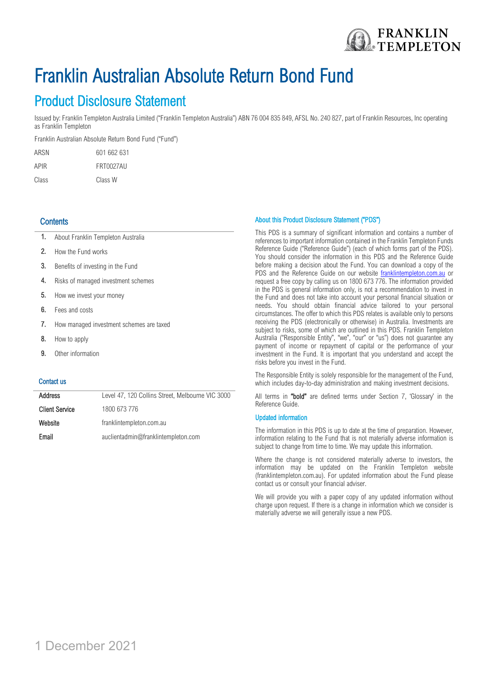

# Franklin Australian Absolute Return Bond Fund

Product Disclosure Statement<br>Issued by: Franklin Templeton Australia Limited ("Franklin Templeton Australia") ABN 76 004 835 849, AFSL No. 240 827, part of Franklin Resources, Inc operating as Franklin Templeton

Franklin Australian Absolute Return Bond Fund ("Fund")

| ARSN  | 601 662 631 |
|-------|-------------|
| APIR  | FRT0027AU   |
| Class | Class W     |

## **Contents**

- 1. About Franklin Templeton Australia
- 2. How the Fund works
- 3. Benefits of investing in the Fund
- 4. Risks of managed investment schemes
- 5. How we invest your money
- 6. Fees and costs
- 7. How managed investment schemes are taxed
- 8. How to apply
- 9. Other information

### Contact us

| <b>Address</b>        | Level 47, 120 Collins Street, Melbourne VIC 3000 |
|-----------------------|--------------------------------------------------|
| <b>Client Service</b> | 1800 673 776                                     |
| Website               | franklintempleton.com.au                         |
| Email                 | auclientadmin@franklintempleton.com              |

#### About this Product Disclosure Statement ("PDS")

This PDS is a summary of significant information and contains a number of references to important information contained in the Franklin Templeton Funds Reference Guide ("Reference Guide") (each of which forms part of the PDS). You should consider the information in this PDS and the Reference Guide before making a decision about the Fund. You can download a copy of the PDS and the Reference Guide on our website [franklintempleton.com.a](http://www.franklintempleton.com/)u or request a free copy by calling us on 1800 673 776. The information provided in the PDS is general information only, is not a recommendation to invest in the Fund and does not take into account your personal financial situation or needs. You should obtain financial advice tailored to your personal circumstances. The offer to which this PDS relates is available only to persons receiving the PDS (electronically or otherwise) in Australia. Investments are subject to risks, some of which are outlined in this PDS. Franklin Templeton Australia ("Responsible Entity", "we", "our" or "us") does not guarantee any payment of income or repayment of capital or the performance of your investment in the Fund. It is important that you understand and accept the risks before you invest in the Fund.

The Responsible Entity is solely responsible for the management of the Fund, which includes day-to-day administration and making investment decisions.

All terms in "bold" are defined terms under Section 7, 'Glossary' in the Reference Guide.

#### Updated information

The information in this PDS is up to date at the time of preparation. However, information relating to the Fund that is not materially adverse information is subject to change from time to time. We may update this information.

Where the change is not considered materially adverse to investors, the information may be updated on the Franklin Templeton website (franklintempleton.com.au). For updated information about the Fund please contact us or consult your financial adviser.

We will provide you with a paper copy of any updated information without charge upon request. If there is a change in information which we consider is materially adverse we will generally issue a new PDS.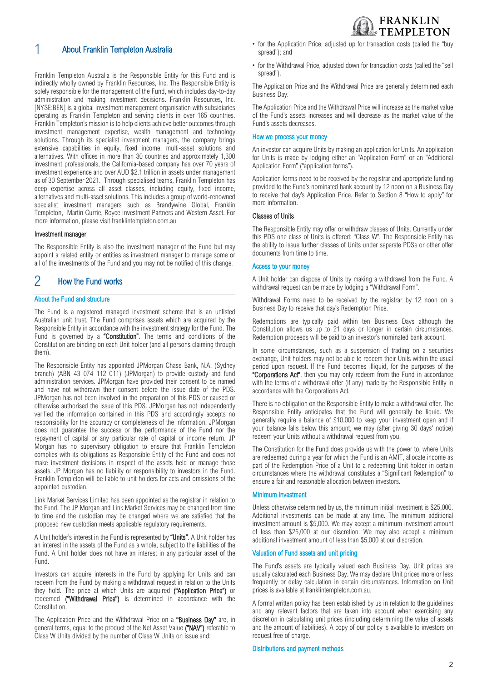# 1 About Franklin Templeton Australia

Franklin Templeton Australia is the Responsible Entity for this Fund and is indirectly wholly owned by Franklin Resources, Inc. The Responsible Entity is solely responsible for the management of the Fund, which includes day-to-day administration and making investment decisions. Franklin Resources, Inc. [NYSE:BEN] is a global investment management organisation with subsidiaries operating as Franklin Templeton and serving clients in over 165 countries. Franklin Templeton's mission is to help clients achieve better outcomes through investment management expertise, wealth management and technology solutions. Through its specialist investment managers, the company brings extensive capabilities in equity, fixed income, multi-asset solutions and alternatives. With offices in more than 30 countries and approximately 1,300 investment professionals, the California-based company has over 70 years of investment experience and over AUD \$2.1 trillion in assets under management as of 30 September 2021. Through specialised teams, Franklin Templeton has deep expertise across all asset classes, including equity, fixed income, alternatives and multi-asset solutions. This includes a group of world-renowned specialist investment managers such as Brandywine Global, Franklin Templeton, Martin Currie, Royce Investment Partners and Western Asset. For more information, please visit franklintempleton.com.au

#### Investment manager

The Responsible Entity is also the investment manager of the Fund but may appoint a related entity or entities as investment manager to manage some or all of the investments of the Fund and you may not be notified of this change.

# 2 How the Fund works

#### About the Fund and structure

The Fund is a registered managed investment scheme that is an unlisted Australian unit trust. The Fund comprises assets which are acquired by the Responsible Entity in accordance with the investment strategy for the Fund. The Fund is governed by a "Constitution". The terms and conditions of the Constitution are binding on each Unit holder (and all persons claiming through them).

The Responsible Entity has appointed JPMorgan Chase Bank, N.A. (Sydney branch) (ABN 43 074 112 011) (JPMorgan) to provide custody and fund administration services. JPMorgan have provided their consent to be named and have not withdrawn their consent before the issue date of the PDS. JPMorgan has not been involved in the preparation of this PDS or caused or otherwise authorised the issue of this PDS. JPMorgan has not independently verified the information contained in this PDS and accordingly accepts no responsibility for the accuracy or completeness of the information. JPMorgan does not guarantee the success or the performance of the Fund nor the repayment of capital or any particular rate of capital or income return. JP Morgan has no supervisory obligation to ensure that Franklin Templeton complies with its obligations as Responsible Entity of the Fund and does not make investment decisions in respect of the assets held or manage those assets. JP Morgan has no liability or responsibility to investors in the Fund. Franklin Templeton will be liable to unit holders for acts and omissions of the appointed custodian.

Link Market Services Limited has been appointed as the registrar in relation to the Fund. The JP Morgan and Link Market Services may be changed from time to time and the custodian may be changed where we are satisfied that the proposed new custodian meets applicable regulatory requirements.

A Unit holder's interest in the Fund is represented by "Units". A Unit holder has an interest in the assets of the Fund as a whole, subject to the liabilities of the Fund. A Unit holder does not have an interest in any particular asset of the Fund.

Investors can acquire interests in the Fund by applying for Units and can redeem from the Fund by making a withdrawal request in relation to the Units they hold. The price at which Units are acquired ("Application Price") or redeemed ("Withdrawal Price") is determined in accordance with the Constitution.

The Application Price and the Withdrawal Price on a "Business Day" are, in general terms, equal to the product of the Net Asset Value ("NAV") referable to Class W Units divided by the number of Class W Units on issue and:



**FRANKLIN** 

• for the Withdrawal Price, adjusted down for transaction costs (called the "sell spread").

The Application Price and the Withdrawal Price are generally determined each Business Day.

The Application Price and the Withdrawal Price will increase as the market value of the Fund's assets increases and will decrease as the market value of the Fund's assets decreases.

#### How we process your money

An investor can acquire Units by making an application for Units. An application for Units is made by lodging either an "Application Form" or an "Additional Application Form" ("application forms").

Application forms need to be received by the registrar and appropriate funding provided to the Fund's nominated bank account by 12 noon on a Business Day to receive that day's Application Price. Refer to Section 8 "How to apply" for more information.

#### Classes of Units

The Responsible Entity may offer or withdraw classes of Units. Currently under this PDS one class of Units is offered: "Class W". The Responsible Entity has the ability to issue further classes of Units under separate PDSs or other offer documents from time to time.

#### Access to your money

A Unit holder can dispose of Units by making a withdrawal from the Fund. A withdrawal request can be made by lodging a "Withdrawal Form".

Withdrawal Forms need to be received by the registrar by 12 noon on a Business Day to receive that day's Redemption Price.

Redemptions are typically paid within ten Business Days although the Constitution allows us up to 21 days or longer in certain circumstances. Redemption proceeds will be paid to an investor's nominated bank account.

In some circumstances, such as a suspension of trading on a securities exchange, Unit holders may not be able to redeem their Units within the usual period upon request. If the Fund becomes illiquid, for the purposes of the "Corporations Act", then you may only redeem from the Fund in accordance with the terms of a withdrawal offer (if any) made by the Responsible Entity in accordance with the Corporations Act.

There is no obligation on the Responsible Entity to make a withdrawal offer. The Responsible Entity anticipates that the Fund will generally be liquid. We generally require a balance of \$10,000 to keep your investment open and if your balance falls below this amount, we may (after giving 30 days' notice) redeem your Units without a withdrawal request from you.

The Constitution for the Fund does provide us with the power to, where Units are redeemed during a year for which the Fund is an AMIT, allocate income as part of the Redemption Price of a Unit to a redeeming Unit holder in certain circumstances where the withdrawal constitutes a "Significant Redemption" to ensure a fair and reasonable allocation between investors.

#### Minimum investment

Unless otherwise determined by us, the minimum initial investment is \$25,000. Additional investments can be made at any time. The minimum additional investment amount is \$5,000. We may accept a minimum investment amount of less than \$25,000 at our discretion. We may also accept a minimum additional investment amount of less than \$5,000 at our discretion.

#### Valuation of Fund assets and unit pricing

The Fund's assets are typically valued each Business Day. Unit prices are usually calculated each Business Day. We may declare Unit prices more or less frequently or delay calculation in certain circumstances. Information on Unit prices is available at franklintempleton.com.au.

A formal written policy has been established by us in relation to the guidelines and any relevant factors that are taken into account when exercising any discretion in calculating unit prices (including determining the value of assets and the amount of liabilities). A copy of our policy is available to investors on request free of charge.

#### Distributions and payment methods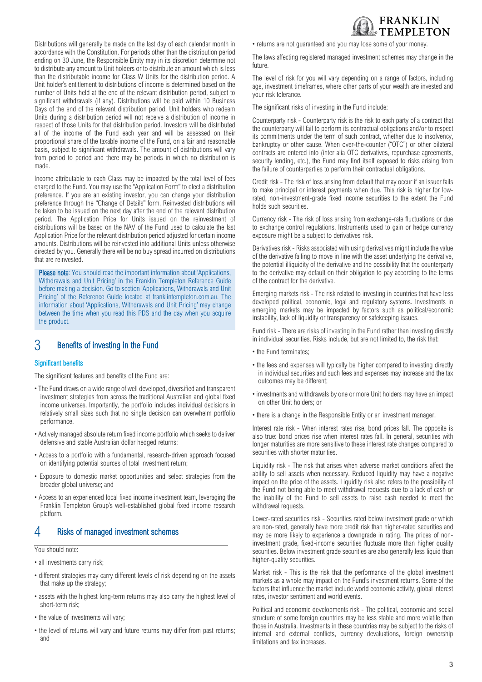

Distributions will generally be made on the last day of each calendar month in accordance with the Constitution. For periods other than the distribution period ending on 30 June, the Responsible Entity may in its discretion determine not to distribute any amount to Unit holders or to distribute an amount which is less than the distributable income for Class W Units for the distribution period. A Unit holder's entitlement to distributions of income is determined based on the number of Units held at the end of the relevant distribution period, subject to significant withdrawals (if any). Distributions will be paid within 10 Business Days of the end of the relevant distribution period. Unit holders who redeem Units during a distribution period will not receive a distribution of income in respect of those Units for that distribution period. Investors will be distributed all of the income of the Fund each year and will be assessed on their proportional share of the taxable income of the Fund, on a fair and reasonable basis, subject to significant withdrawals. The amount of distributions will vary from period to period and there may be periods in which no distribution is made.

Income attributable to each Class may be impacted by the total level of fees charged to the Fund. You may use the "Application Form" to elect a distribution preference. If you are an existing investor, you can change your distribution preference through the "Change of Details" form. Reinvested distributions will be taken to be issued on the next day after the end of the relevant distribution period. The Application Price for Units issued on the reinvestment of distributions will be based on the NAV of the Fund used to calculate the last Application Price for the relevant distribution period adjusted for certain income amounts. Distributions will be reinvested into additional Units unless otherwise directed by you. Generally there will be no buy spread incurred on distributions that are reinvested.

Please note: You should read the important information about 'Applications, Withdrawals and Unit Pricing' in the Franklin Templeton Reference Guide before making a decision. Go to section 'Applications, Withdrawals and Unit Pricing' of the Reference Guide located at franklintempleton.com.au. The information about 'Applications, Withdrawals and Unit Pricing' may change between the time when you read this PDS and the day when you acquire the product.

# 3 Benefits of investing in the Fund

#### Significant benefits

The significant features and benefits of the Fund are:

- The Fund draws on a wide range of well developed, diversified and transparent investment strategies from across the traditional Australian and global fixed income universes. Importantly, the portfolio includes individual decisions in relatively small sizes such that no single decision can overwhelm portfolio performance.
- Actively managed absolute return fixed income portfolio which seeks to deliver defensive and stable Australian dollar hedged returns;
- Access to a portfolio with a fundamental, research-driven approach focused on identifying potential sources of total investment return;
- Exposure to domestic market opportunities and select strategies from the broader global universe; and
- Access to an experienced local fixed income investment team, leveraging the Franklin Templeton Group's well-established global fixed income research platform.

# 4 Risks of managed investment schemes

#### You should note:

- all investments carry risk;
- different strategies may carry different levels of risk depending on the assets that make up the strategy;
- assets with the highest long-term returns may also carry the highest level of short-term risk;
- the value of investments will vary;
- the level of returns will vary and future returns may differ from past returns; and

• returns are not guaranteed and you may lose some of your money.

The laws affecting registered managed investment schemes may change in the future.

The level of risk for you will vary depending on a range of factors, including age, investment timeframes, where other parts of your wealth are invested and your risk tolerance.

The significant risks of investing in the Fund include:

Counterparty risk - Counterparty risk is the risk to each party of a contract that the counterparty will fail to perform its contractual obligations and/or to respect its commitments under the term of such contract, whether due to insolvency, bankruptcy or other cause. When over-the-counter ("OTC") or other bilateral contracts are entered into (inter alia OTC derivatives, repurchase agreements, security lending, etc.), the Fund may find itself exposed to risks arising from the failure of counterparties to perform their contractual obligations.

Credit risk - The risk of loss arising from default that may occur if an issuer fails to make principal or interest payments when due. This risk is higher for lowrated, non-investment-grade fixed income securities to the extent the Fund holds such securities.

Currency risk - The risk of loss arising from exchange-rate fluctuations or due to exchange control regulations. Instruments used to gain or hedge currency exposure might be a subject to derivatives risk.

Derivatives risk - Risks associated with using derivatives might include the value of the derivative failing to move in line with the asset underlying the derivative, the potential illiquidity of the derivative and the possibility that the counterparty to the derivative may default on their obligation to pay according to the terms of the contract for the derivative.

Emerging markets risk - The risk related to investing in countries that have less developed political, economic, legal and regulatory systems. Investments in emerging markets may be impacted by factors such as political/economic instability, lack of liquidity or transparency or safekeeping issues.

Fund risk - There are risks of investing in the Fund rather than investing directly in individual securities. Risks include, but are not limited to, the risk that:

- the Fund terminates:
- the fees and expenses will typically be higher compared to investing directly in individual securities and such fees and expenses may increase and the tax outcomes may be different;
- investments and withdrawals by one or more Unit holders may have an impact on other Unit holders; or
- there is a change in the Responsible Entity or an investment manager.

Interest rate risk - When interest rates rise, bond prices fall. The opposite is also true: bond prices rise when interest rates fall. In general, securities with longer maturities are more sensitive to these interest rate changes compared to securities with shorter maturities.

Liquidity risk - The risk that arises when adverse market conditions affect the ability to sell assets when necessary. Reduced liquidity may have a negative impact on the price of the assets. Liquidity risk also refers to the possibility of the Fund not being able to meet withdrawal requests due to a lack of cash or the inability of the Fund to sell assets to raise cash needed to meet the withdrawal requests.

Lower-rated securities risk - Securities rated below investment grade or which are non-rated, generally have more credit risk than higher-rated securities and may be more likely to experience a downgrade in rating. The prices of noninvestment grade, fixed-income securities fluctuate more than higher quality securities. Below investment grade securities are also generally less liquid than higher-quality securities.

Market risk - This is the risk that the performance of the global investment markets as a whole may impact on the Fund's investment returns. Some of the factors that influence the market include world economic activity, global interest rates, investor sentiment and world events.

Political and economic developments risk - The political, economic and social structure of some foreign countries may be less stable and more volatile than those in Australia. Investments in these countries may be subject to the risks of internal and external conflicts, currency devaluations, foreign ownership limitations and tax increases.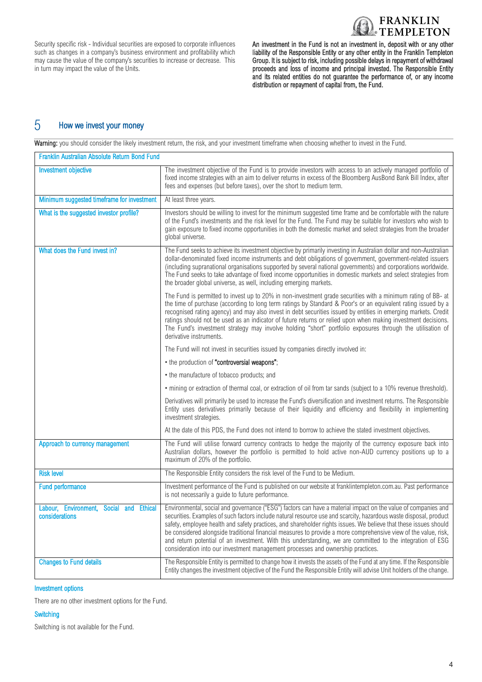

Security specific risk - Individual securities are exposed to corporate influences such as changes in a company's business environment and profitability which may cause the value of the company's securities to increase or decrease. This in turn may impact the value of the Units.

An investment in the Fund is not an investment in, deposit with or any other liability of the Responsible Entity or any other entity in the Franklin Templeton Group. It is subject to risk, including possible delays in repayment of withdrawal proceeds and loss of income and principal invested. The Responsible Entity and its related entities do not guarantee the performance of, or any income distribution or repayment of capital from, the Fund.

# 5 How we invest your money

Warning: you should consider the likely investment return, the risk, and your investment timeframe when choosing whether to invest in the Fund.

| Franklin Australian Absolute Return Bond Fund             |                                                                                                                                                                                                                                                                                                                                                                                                                                                                                                                                                                                                                                                                            |
|-----------------------------------------------------------|----------------------------------------------------------------------------------------------------------------------------------------------------------------------------------------------------------------------------------------------------------------------------------------------------------------------------------------------------------------------------------------------------------------------------------------------------------------------------------------------------------------------------------------------------------------------------------------------------------------------------------------------------------------------------|
| <b>Investment objective</b>                               | The investment objective of the Fund is to provide investors with access to an actively managed portfolio of<br>fixed income strategies with an aim to deliver returns in excess of the Bloomberg AusBond Bank Bill Index, after<br>fees and expenses (but before taxes), over the short to medium term.                                                                                                                                                                                                                                                                                                                                                                   |
| Minimum suggested timeframe for investment                | At least three years.                                                                                                                                                                                                                                                                                                                                                                                                                                                                                                                                                                                                                                                      |
| What is the suggested investor profile?                   | Investors should be willing to invest for the minimum suggested time frame and be comfortable with the nature<br>of the Fund's investments and the risk level for the Fund. The Fund may be suitable for investors who wish to<br>gain exposure to fixed income opportunities in both the domestic market and select strategies from the broader<br>global universe.                                                                                                                                                                                                                                                                                                       |
| What does the Fund invest in?                             | The Fund seeks to achieve its investment objective by primarily investing in Australian dollar and non-Australian<br>dollar-denominated fixed income instruments and debt obligations of government, government-related issuers<br>(including supranational organisations supported by several national governments) and corporations worldwide.<br>The Fund seeks to take advantage of fixed income opportunities in domestic markets and select strategies from<br>the broader global universe, as well, including emerging markets.                                                                                                                                     |
|                                                           | The Fund is permitted to invest up to 20% in non-investment grade securities with a minimum rating of BB- at<br>the time of purchase (according to long term ratings by Standard & Poor's or an equivalent rating issued by a<br>recognised rating agency) and may also invest in debt securities issued by entities in emerging markets. Credit<br>ratings should not be used as an indicator of future returns or relied upon when making investment decisions.<br>The Fund's investment strategy may involve holding "short" portfolio exposures through the utilisation of<br>derivative instruments.                                                                  |
|                                                           | The Fund will not invest in securities issued by companies directly involved in:                                                                                                                                                                                                                                                                                                                                                                                                                                                                                                                                                                                           |
|                                                           | • the production of "controversial weapons";                                                                                                                                                                                                                                                                                                                                                                                                                                                                                                                                                                                                                               |
|                                                           | • the manufacture of tobacco products; and                                                                                                                                                                                                                                                                                                                                                                                                                                                                                                                                                                                                                                 |
|                                                           | • mining or extraction of thermal coal, or extraction of oil from tar sands (subject to a 10% revenue threshold).                                                                                                                                                                                                                                                                                                                                                                                                                                                                                                                                                          |
|                                                           | Derivatives will primarily be used to increase the Fund's diversification and investment returns. The Responsible<br>Entity uses derivatives primarily because of their liquidity and efficiency and flexibility in implementing<br>investment strategies.                                                                                                                                                                                                                                                                                                                                                                                                                 |
|                                                           | At the date of this PDS, the Fund does not intend to borrow to achieve the stated investment objectives.                                                                                                                                                                                                                                                                                                                                                                                                                                                                                                                                                                   |
| Approach to currency management                           | The Fund will utilise forward currency contracts to hedge the majority of the currency exposure back into<br>Australian dollars, however the portfolio is permitted to hold active non-AUD currency positions up to a<br>maximum of 20% of the portfolio.                                                                                                                                                                                                                                                                                                                                                                                                                  |
| <b>Risk level</b>                                         | The Responsible Entity considers the risk level of the Fund to be Medium.                                                                                                                                                                                                                                                                                                                                                                                                                                                                                                                                                                                                  |
| <b>Fund performance</b>                                   | Investment performance of the Fund is published on our website at franklintempleton.com.au. Past performance<br>is not necessarily a guide to future performance.                                                                                                                                                                                                                                                                                                                                                                                                                                                                                                          |
| Labour, Environment, Social and Ethical<br>considerations | Environmental, social and governance ("ESG") factors can have a material impact on the value of companies and<br>securities. Examples of such factors include natural resource use and scarcity, hazardous waste disposal, product<br>safety, employee health and safety practices, and shareholder rights issues. We believe that these issues should<br>be considered alongside traditional financial measures to provide a more comprehensive view of the value, risk,<br>and return potential of an investment. With this understanding, we are committed to the integration of ESG<br>consideration into our investment management processes and ownership practices. |
| <b>Changes to Fund details</b>                            | The Responsible Entity is permitted to change how it invests the assets of the Fund at any time. If the Responsible<br>Entity changes the investment objective of the Fund the Responsible Entity will advise Unit holders of the change.                                                                                                                                                                                                                                                                                                                                                                                                                                  |

#### Investment options

There are no other investment options for the Fund.

#### **Switching**

Switching is not available for the Fund.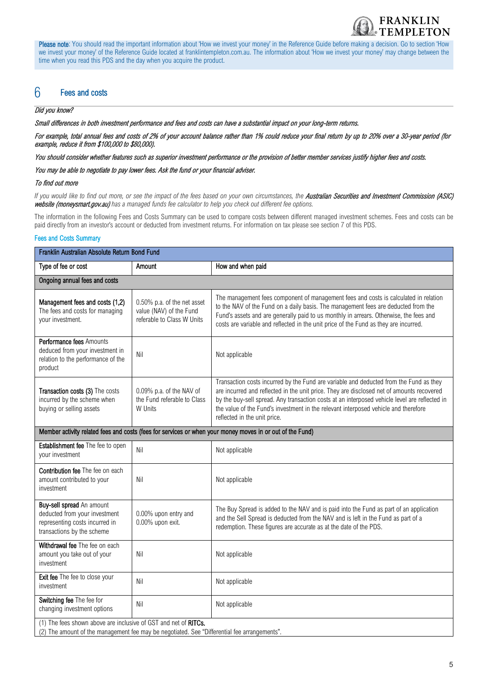

Please note: You should read the important information about 'How we invest your money' in the Reference Guide before making a decision. Go to section 'How we invest your money' of the Reference Guide located at franklintempleton.com.au. The information about 'How we invest your money' may change between the time when you read this PDS and the day when you acquire the product.

# 6 Fees and costs

#### Did you know?

Small differences in both investment performance and fees and costs can have a substantial impact on your long-term returns.

For example, total annual fees and costs of 2% of your account balance rather than 1% could reduce your final return by up to 20% over a 30-year period (for example, reduce it from \$100,000 to \$80,000).

You should consider whether features such as superior investment performance or the provision of better member services justify higher fees and costs.

You may be able to negotiate to pay lower fees. Ask the fund or your financial adviser.

#### To find out more

If you would like to find out more, or see the impact of the fees based on your own circumstances, the **Australian Securities and Investment Commission (ASIC)** website (moneysmart.gov.au) *has a managed funds fee calculator to help you check out different fee options.*

The information in the following Fees and Costs Summary can be used to compare costs between different managed investment schemes. Fees and costs can be paid directly from an investor's account or deducted from investment returns. For information on tax please see section 7 of this PDS.

#### Fees and Costs Summary

| Franklin Australian Absolute Return Bond Fund                                                                                                                   |                                                                                                                                                                                                                                                                                                                                                                                                                                                      |                                                                                                                                                                                                                                                                                                                                                                                                             |  |  |
|-----------------------------------------------------------------------------------------------------------------------------------------------------------------|------------------------------------------------------------------------------------------------------------------------------------------------------------------------------------------------------------------------------------------------------------------------------------------------------------------------------------------------------------------------------------------------------------------------------------------------------|-------------------------------------------------------------------------------------------------------------------------------------------------------------------------------------------------------------------------------------------------------------------------------------------------------------------------------------------------------------------------------------------------------------|--|--|
| Type of fee or cost                                                                                                                                             | Amount                                                                                                                                                                                                                                                                                                                                                                                                                                               | How and when paid                                                                                                                                                                                                                                                                                                                                                                                           |  |  |
| Ongoing annual fees and costs                                                                                                                                   |                                                                                                                                                                                                                                                                                                                                                                                                                                                      |                                                                                                                                                                                                                                                                                                                                                                                                             |  |  |
| Management fees and costs (1,2)<br>The fees and costs for managing<br>your investment.                                                                          | The management fees component of management fees and costs is calculated in relation<br>0.50% p.a. of the net asset<br>to the NAV of the Fund on a daily basis. The management fees are deducted from the<br>value (NAV) of the Fund<br>Fund's assets and are generally paid to us monthly in arrears. Otherwise, the fees and<br>referable to Class W Units<br>costs are variable and reflected in the unit price of the Fund as they are incurred. |                                                                                                                                                                                                                                                                                                                                                                                                             |  |  |
| Performance fees Amounts<br>deduced from your investment in<br>relation to the performance of the<br>product                                                    | Nil                                                                                                                                                                                                                                                                                                                                                                                                                                                  | Not applicable                                                                                                                                                                                                                                                                                                                                                                                              |  |  |
| Transaction costs (3) The costs<br>incurred by the scheme when<br>buying or selling assets                                                                      | 0.09% p.a. of the NAV of<br>the Fund referable to Class<br>W Units                                                                                                                                                                                                                                                                                                                                                                                   | Transaction costs incurred by the Fund are variable and deducted from the Fund as they<br>are incurred and reflected in the unit price. They are disclosed net of amounts recovered<br>by the buy-sell spread. Any transaction costs at an interposed vehicle level are reflected in<br>the value of the Fund's investment in the relevant interposed vehicle and therefore<br>reflected in the unit price. |  |  |
| Member activity related fees and costs (fees for services or when your money moves in or out of the Fund)                                                       |                                                                                                                                                                                                                                                                                                                                                                                                                                                      |                                                                                                                                                                                                                                                                                                                                                                                                             |  |  |
| Establishment fee The fee to open<br>your investment                                                                                                            | Nil                                                                                                                                                                                                                                                                                                                                                                                                                                                  | Not applicable                                                                                                                                                                                                                                                                                                                                                                                              |  |  |
| Contribution fee The fee on each<br>amount contributed to your<br>investment                                                                                    | Nil                                                                                                                                                                                                                                                                                                                                                                                                                                                  | Not applicable                                                                                                                                                                                                                                                                                                                                                                                              |  |  |
| Buy-sell spread An amount<br>deducted from your investment<br>representing costs incurred in<br>transactions by the scheme                                      | 0.00% upon entry and<br>0.00% upon exit.                                                                                                                                                                                                                                                                                                                                                                                                             | The Buy Spread is added to the NAV and is paid into the Fund as part of an application<br>and the Sell Spread is deducted from the NAV and is left in the Fund as part of a<br>redemption. These figures are accurate as at the date of the PDS.                                                                                                                                                            |  |  |
| Withdrawal fee The fee on each<br>amount you take out of your<br>investment                                                                                     | Nil                                                                                                                                                                                                                                                                                                                                                                                                                                                  | Not applicable                                                                                                                                                                                                                                                                                                                                                                                              |  |  |
| Exit fee The fee to close your<br>investment                                                                                                                    | Nil                                                                                                                                                                                                                                                                                                                                                                                                                                                  | Not applicable                                                                                                                                                                                                                                                                                                                                                                                              |  |  |
| Switching fee The fee for<br>changing investment options                                                                                                        | Nil                                                                                                                                                                                                                                                                                                                                                                                                                                                  | Not applicable                                                                                                                                                                                                                                                                                                                                                                                              |  |  |
| (1) The fees shown above are inclusive of GST and net of RITCs.<br>(2) The amount of the management fee may be negotiated. See "Differential fee arrangements". |                                                                                                                                                                                                                                                                                                                                                                                                                                                      |                                                                                                                                                                                                                                                                                                                                                                                                             |  |  |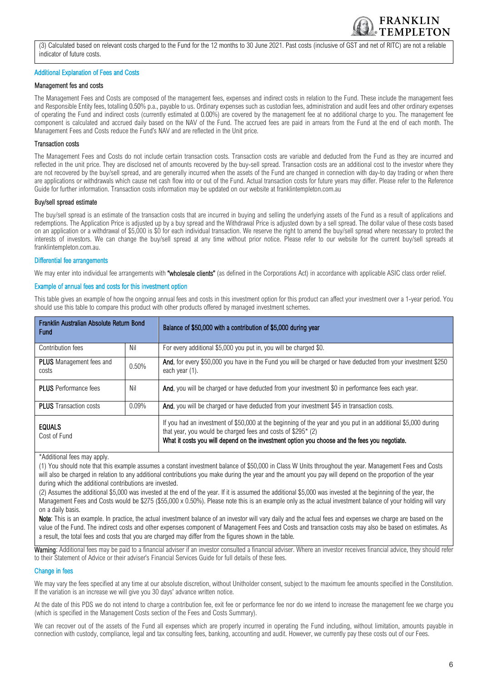

(3) Calculated based on relevant costs charged to the Fund for the 12 months to 30 June 2021. Past costs (inclusive of GST and net of RITC) are not a reliable indicator of future costs.

#### Additional Explanation of Fees and Costs

#### Management fes and costs

The Management Fees and Costs are composed of the management fees, expenses and indirect costs in relation to the Fund. These include the management fees and Responsible Entity fees, totalling 0.50% p.a., payable to us. Ordinary expenses such as custodian fees, administration and audit fees and other ordinary expenses of operating the Fund and indirect costs (currently estimated at 0.00%) are covered by the management fee at no additional charge to you. The management fee component is calculated and accrued daily based on the NAV of the Fund. The accrued fees are paid in arrears from the Fund at the end of each month. The Management Fees and Costs reduce the Fund's NAV and are reflected in the Unit price.

#### Transaction costs

The Management Fees and Costs do not include certain transaction costs. Transaction costs are variable and deducted from the Fund as they are incurred and reflected in the unit price. They are disclosed net of amounts recovered by the buy-sell spread. Transaction costs are an additional cost to the investor where they are not recovered by the buy/sell spread, and are generally incurred when the assets of the Fund are changed in connection with day-to day trading or when there are applications or withdrawals which cause net cash flow into or out of the Fund. Actual transaction costs for future years may differ. Please refer to the Reference Guide for further information. Transaction costs information may be updated on our website at franklintempleton.com.au

#### Buy/sell spread estimate

The buy/sell spread is an estimate of the transaction costs that are incurred in buying and selling the underlying assets of the Fund as a result of applications and redemptions. The Application Price is adjusted up by a buy spread and the Withdrawal Price is adjusted down by a sell spread. The dollar value of these costs based on an application or a withdrawal of \$5,000 is \$0 for each individual transaction. We reserve the right to amend the buy/sell spread where necessary to protect the interests of investors. We can change the buy/sell spread at any time without prior notice. Please refer to our website for the current buy/sell spreads at franklintempleton.com.au.

#### Differential fee arrangements

We may enter into individual fee arrangements with "wholesale clients" (as defined in the Corporations Act) in accordance with applicable ASIC class order relief.

#### Example of annual fees and costs for this investment option

This table gives an example of how the ongoing annual fees and costs in this investment option for this product can affect your investment over a 1-year period. You should use this table to compare this product with other products offered by managed investment schemes.

| Franklin Australian Absolute Return Bond<br><b>Fund</b> |          | Balance of \$50,000 with a contribution of \$5,000 during year                                                                                                                                                                                                                 |
|---------------------------------------------------------|----------|--------------------------------------------------------------------------------------------------------------------------------------------------------------------------------------------------------------------------------------------------------------------------------|
| Contribution fees                                       | Nil      | For every additional \$5,000 you put in, you will be charged \$0.                                                                                                                                                                                                              |
| <b>PLUS</b> Management fees and<br>costs                | 0.50%    | And, for every \$50,000 you have in the Fund you will be charged or have deducted from your investment \$250<br>each year (1).                                                                                                                                                 |
| <b>PLUS</b> Performance fees                            | Nil      | And, you will be charged or have deducted from your investment \$0 in performance fees each year.                                                                                                                                                                              |
| <b>PLUS</b> Transaction costs                           | $0.09\%$ | And, you will be charged or have deducted from your investment \$45 in transaction costs.                                                                                                                                                                                      |
| <b>EQUALS</b><br>Cost of Fund                           |          | If you had an investment of \$50,000 at the beginning of the year and you put in an additional \$5,000 during<br>that year, you would be charged fees and costs of \$295* (2)<br>What it costs you will depend on the investment option you choose and the fees you negotiate. |

\*Additional fees may apply.

(1) You should note that this example assumes a constant investment balance of \$50,000 in Class W Units throughout the year. Management Fees and Costs will also be charged in relation to any additional contributions you make during the year and the amount you pay will depend on the proportion of the year during which the additional contributions are invested.

(2) Assumes the additional \$5,000 was invested at the end of the year. If it is assumed the additional \$5,000 was invested at the beginning of the year, the Management Fees and Costs would be \$275 (\$55,000 x 0.50%). Please note this is an example only as the actual investment balance of your holding will vary on a daily basis.

Note: This is an example. In practice, the actual investment balance of an investor will vary daily and the actual fees and expenses we charge are based on the value of the Fund. The indirect costs and other expenses component of Management Fees and Costs and transaction costs may also be based on estimates. As a result, the total fees and costs that you are charged may differ from the figures shown in the table.

Warning: Additional fees may be paid to a financial adviser if an investor consulted a financial adviser. Where an investor receives financial advice, they should refer to their Statement of Advice or their adviser's Financial Services Guide for full details of these fees.

#### Change in fees

We may vary the fees specified at any time at our absolute discretion, without Unitholder consent, subject to the maximum fee amounts specified in the Constitution. If the variation is an increase we will give you 30 days' advance written notice.

At the date of this PDS we do not intend to charge a contribution fee, exit fee or performance fee nor do we intend to increase the management fee we charge you (which is specified in the Management Costs section of the Fees and Costs Summary).

We can recover out of the assets of the Fund all expenses which are properly incurred in operating the Fund including, without limitation, amounts payable in connection with custody, compliance, legal and tax consulting fees, banking, accounting and audit. However, we currently pay these costs out of our Fees.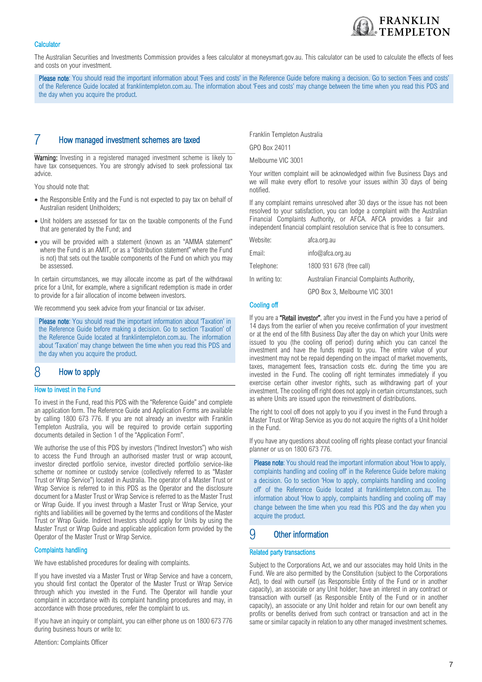#### **Calculator**

The Australian Securities and Investments Commission provides a fees calculator at moneysmart.gov.au. This calculator can be used to calculate the effects of fees and costs on your investment.

Please note: You should read the important information about 'Fees and costs' in the Reference Guide before making a decision. Go to section 'Fees and costs' of the Reference Guide located at franklintempleton.com.au. The information about 'Fees and costs' may change between the time when you read this PDS and the day when you acquire the product.

#### 7 How managed investment schemes are taxed

Warning: Investing in a registered managed investment scheme is likely to have tax consequences. You are strongly advised to seek professional tax advice.

You should note that:

- the Responsible Entity and the Fund is not expected to pay tax on behalf of Australian resident Unitholders;
- Unit holders are assessed for tax on the taxable components of the Fund that are generated by the Fund; and
- you will be provided with a statement (known as an "AMMA statement" where the Fund is an AMIT, or as a "distribution statement" where the Fund is not) that sets out the taxable components of the Fund on which you may be assessed.

In certain circumstances, we may allocate income as part of the withdrawal price for a Unit, for example, where a significant redemption is made in order to provide for a fair allocation of income between investors.

We recommend you seek advice from your financial or tax adviser.

Please note: You should read the important information about 'Taxation' in the Reference Guide before making a decision. Go to section 'Taxation' of the Reference Guide located at franklintempleton.com.au. The information about 'Taxation' may change between the time when you read this PDS and the day when you acquire the product.

# 8 How to apply

#### How to invest in the Fund

To invest in the Fund, read this PDS with the "Reference Guide" and complete an application form. The Reference Guide and Application Forms are available by calling 1800 673 776. If you are not already an investor with Franklin Templeton Australia, you will be required to provide certain supporting documents detailed in Section 1 of the "Application Form".

We authorise the use of this PDS by investors ("Indirect Investors") who wish to access the Fund through an authorised master trust or wrap account, investor directed portfolio service, investor directed portfolio service-like scheme or nominee or custody service (collectively referred to as "Master Trust or Wrap Service") located in Australia. The operator of a Master Trust or Wrap Service is referred to in this PDS as the Operator and the disclosure document for a Master Trust or Wrap Service is referred to as the Master Trust or Wrap Guide. If you invest through a Master Trust or Wrap Service, your rights and liabilities will be governed by the terms and conditions of the Master Trust or Wrap Guide. Indirect Investors should apply for Units by using the Master Trust or Wrap Guide and applicable application form provided by the Operator of the Master Trust or Wrap Service.

#### Complaints handling

We have established procedures for dealing with complaints.

If you have invested via a Master Trust or Wrap Service and have a concern, you should first contact the Operator of the Master Trust or Wrap Service through which you invested in the Fund. The Operator will handle your complaint in accordance with its complaint handling procedures and may, in accordance with those procedures, refer the complaint to us.

If you have an inquiry or complaint, you can either phone us on 1800 673 776 during business hours or write to:

Franklin Templeton Australia

GPO Box 24011

Melbourne VIC 3001

Your written complaint will be acknowledged within five Business Days and we will make every effort to resolve your issues within 30 days of being notified.

**FRANKLIN EMPLETON** 

If any complaint remains unresolved after 30 days or the issue has not been resolved to your satisfaction, you can lodge a complaint with the Australian Financial Complaints Authority, or AFCA. AFCA provides a fair and independent financial complaint resolution service that is free to consumers.

| Website:       | afca.org.au                                |
|----------------|--------------------------------------------|
| Email:         | info@afca.org.au                           |
| Telephone:     | 1800 931 678 (free call)                   |
| In writing to: | Australian Financial Complaints Authority, |
|                | GPO Box 3, Melbourne VIC 3001              |

#### Cooling off

If you are a "Retail investor", after you invest in the Fund you have a period of 14 days from the earlier of when you receive confirmation of your investment or at the end of the fifth Business Day after the day on which your Units were issued to you (the cooling off period) during which you can cancel the investment and have the funds repaid to you. The entire value of your investment may not be repaid depending on the impact of market movements, taxes, management fees, transaction costs etc. during the time you are invested in the Fund. The cooling off right terminates immediately if you exercise certain other investor rights, such as withdrawing part of your investment. The cooling off right does not apply in certain circumstances, such as where Units are issued upon the reinvestment of distributions.

The right to cool off does not apply to you if you invest in the Fund through a Master Trust or Wrap Service as you do not acquire the rights of a Unit holder in the Fund.

If you have any questions about cooling off rights please contact your financial planner or us on 1800 673 776.

Please note: You should read the important information about 'How to apply, complaints handling and cooling off' in the Reference Guide before making a decision. Go to section 'How to apply, complaints handling and cooling off' of the Reference Guide located at franklintempleton.com.au. The information about 'How to apply, complaints handling and cooling off' may change between the time when you read this PDS and the day when you acquire the product.

### 9 Other information

#### Related party transactions

Subject to the Corporations Act, we and our associates may hold Units in the Fund. We are also permitted by the Constitution (subject to the Corporations Act), to deal with ourself (as Responsible Entity of the Fund or in another capacity), an associate or any Unit holder; have an interest in any contract or transaction with ourself (as Responsible Entity of the Fund or in another capacity), an associate or any Unit holder and retain for our own benefit any profits or benefits derived from such contract or transaction and act in the same or similar capacity in relation to any other managed investment schemes.